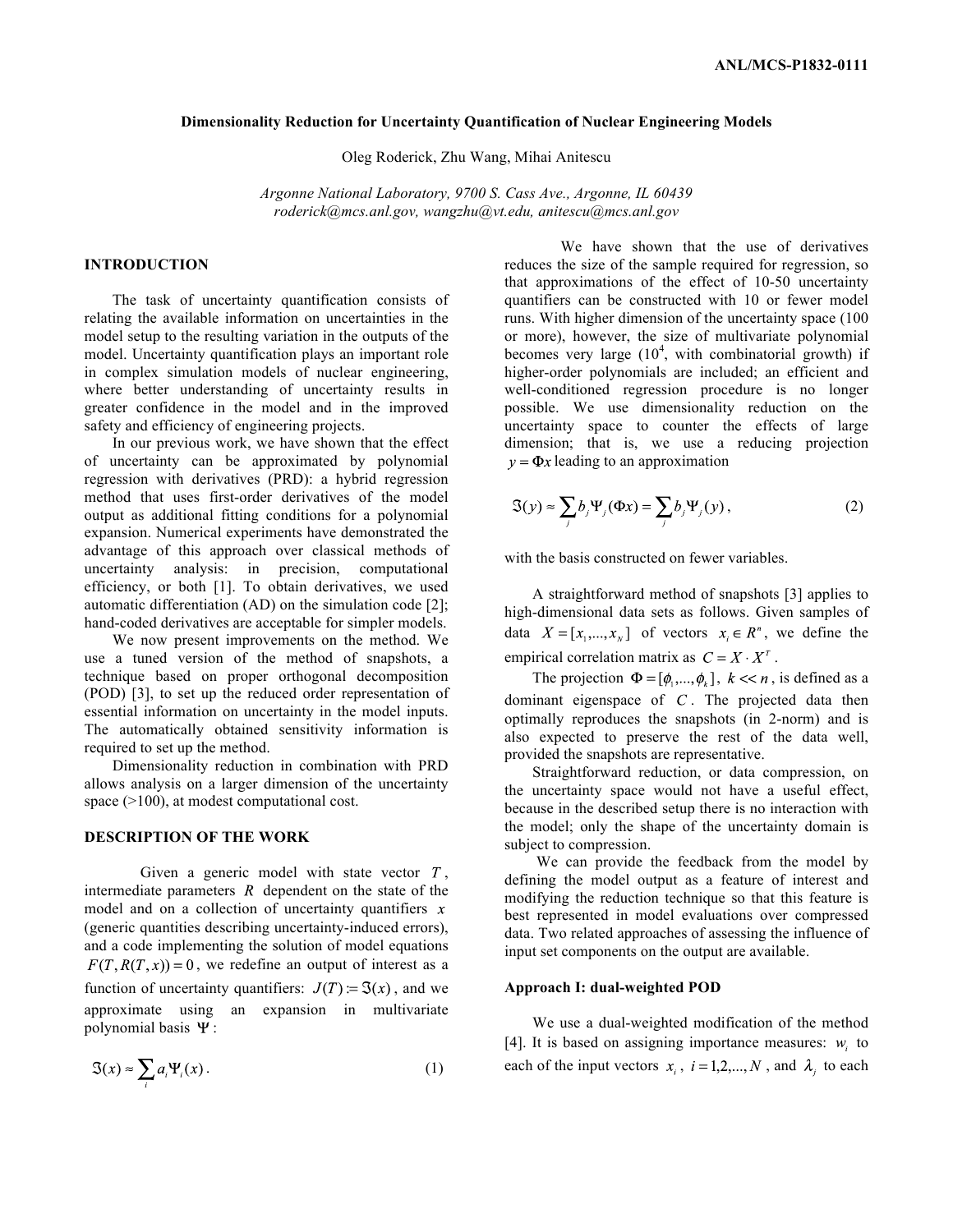### **Dimensionality Reduction for Uncertainty Quantification of Nuclear Engineering Models**

Oleg Roderick, Zhu Wang, Mihai Anitescu

*Argonne National Laboratory, 9700 S. Cass Ave., Argonne, IL 60439 roderick@mcs.anl.gov, wangzhu@vt.edu, anitescu@mcs.anl.gov* 

# **INTRODUCTION**

The task of uncertainty quantification consists of relating the available information on uncertainties in the model setup to the resulting variation in the outputs of the model. Uncertainty quantification plays an important role in complex simulation models of nuclear engineering, where better understanding of uncertainty results in greater confidence in the model and in the improved safety and efficiency of engineering projects.

In our previous work, we have shown that the effect of uncertainty can be approximated by polynomial regression with derivatives (PRD): a hybrid regression method that uses first-order derivatives of the model output as additional fitting conditions for a polynomial expansion. Numerical experiments have demonstrated the advantage of this approach over classical methods of uncertainty analysis: in precision, computational efficiency, or both [1]. To obtain derivatives, we used automatic differentiation (AD) on the simulation code [2]; hand-coded derivatives are acceptable for simpler models.

We now present improvements on the method. We use a tuned version of the method of snapshots, a technique based on proper orthogonal decomposition (POD) [3], to set up the reduced order representation of essential information on uncertainty in the model inputs. The automatically obtained sensitivity information is required to set up the method.

Dimensionality reduction in combination with PRD allows analysis on a larger dimension of the uncertainty space (>100), at modest computational cost.

### **DESCRIPTION OF THE WORK**

Given a generic model with state vector  $T$ , intermediate parameters  $R$  dependent on the state of the model and on a collection of uncertainty quantifiers  $x$ (generic quantities describing uncertainty-induced errors), and a code implementing the solution of model equations  $F(T, R(T, x)) = 0$ , we redefine an output of interest as a function of uncertainty quantifiers:  $J(T) = \Im(x)$ , and we approximate using an expansion in multivariate polynomial basis  $\Psi$ :

$$
\mathfrak{S}(x) \approx \sum_{i} a_i \Psi_i(x) \,. \tag{1}
$$

We have shown that the use of derivatives reduces the size of the sample required for regression, so that approximations of the effect of 10-50 uncertainty quantifiers can be constructed with 10 or fewer model runs. With higher dimension of the uncertainty space (100 or more), however, the size of multivariate polynomial becomes very large  $(10^4)$ , with combinatorial growth) if higher-order polynomials are included; an efficient and well-conditioned regression procedure is no longer possible. We use dimensionality reduction on the uncertainty space to counter the effects of large dimension; that is, we use a reducing projection  $y = \Phi x$  leading to an approximation

$$
\mathfrak{S}(y) \approx \sum_{j} b_j \Psi_j(\Phi x) = \sum_{j} b_j \Psi_j(y), \qquad (2)
$$

with the basis constructed on fewer variables.

A straightforward method of snapshots [3] applies to high-dimensional data sets as follows. Given samples of data  $X = [x_1, ..., x_N]$  of vectors  $x_i \in R^n$ , we define the empirical correlation matrix as  $C = X \cdot X^{T}$ .

The projection  $\Phi = [\phi_1, ..., \phi_k]$ ,  $k \ll n$ , is defined as a dominant eigenspace of  $C$ . The projected data then optimally reproduces the snapshots (in 2-norm) and is also expected to preserve the rest of the data well, provided the snapshots are representative.

Straightforward reduction, or data compression, on the uncertainty space would not have a useful effect, because in the described setup there is no interaction with the model; only the shape of the uncertainty domain is subject to compression.

 We can provide the feedback from the model by defining the model output as a feature of interest and modifying the reduction technique so that this feature is best represented in model evaluations over compressed data. Two related approaches of assessing the influence of input set components on the output are available.

#### **Approach I: dual-weighted POD**

We use a dual-weighted modification of the method [4]. It is based on assigning importance measures:  $w_i$  to each of the input vectors  $x_i$ ,  $i = 1, 2, ..., N$ , and  $\lambda_i$  to each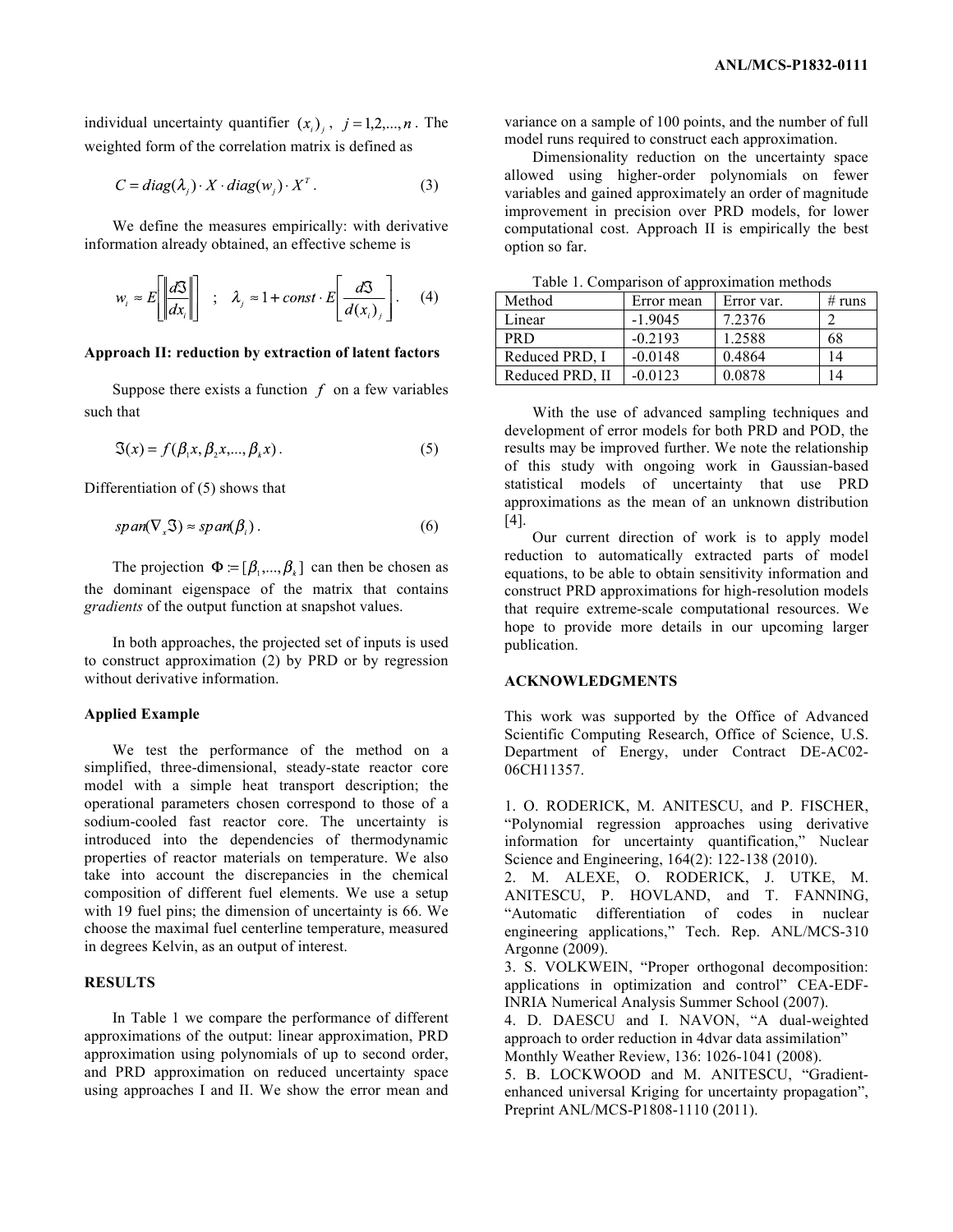individual uncertainty quantifier  $(x_i)$ ,  $j = 1, 2, ..., n$ . The weighted form of the correlation matrix is defined as

$$
C = diag(\lambda_i) \cdot X \cdot diag(w_i) \cdot X^T. \tag{3}
$$

We define the measures empirically: with derivative information already obtained, an effective scheme is

$$
w_i \approx E\left[\left|\frac{d\mathfrak{S}}{dx_i}\right|\right] \hspace{1mm}; \hspace{1mm} \lambda_j \approx 1 + const \cdot E\left[\frac{d\mathfrak{S}}{d(x_i)_j}\right]. \hspace{1mm} (4)
$$

### **Approach II: reduction by extraction of latent factors**

Suppose there exists a function  $f$  on a few variables such that

$$
\mathfrak{S}(x) = f(\beta_1 x, \beta_2 x, \dots, \beta_k x). \tag{5}
$$

Differentiation of (5) shows that

$$
span(\nabla_x \mathfrak{S}) \approx span(\beta_i). \tag{6}
$$

The projection  $\Phi = [\beta_1, ..., \beta_k]$  can then be chosen as the dominant eigenspace of the matrix that contains *gradients* of the output function at snapshot values.

In both approaches, the projected set of inputs is used to construct approximation (2) by PRD or by regression without derivative information.

#### **Applied Example**

We test the performance of the method on a simplified, three-dimensional, steady-state reactor core model with a simple heat transport description; the operational parameters chosen correspond to those of a sodium-cooled fast reactor core. The uncertainty is introduced into the dependencies of thermodynamic properties of reactor materials on temperature. We also take into account the discrepancies in the chemical composition of different fuel elements. We use a setup with 19 fuel pins; the dimension of uncertainty is 66. We choose the maximal fuel centerline temperature, measured in degrees Kelvin, as an output of interest.

## **RESULTS**

In Table 1 we compare the performance of different approximations of the output: linear approximation, PRD approximation using polynomials of up to second order, and PRD approximation on reduced uncertainty space using approaches I and II. We show the error mean and variance on a sample of 100 points, and the number of full model runs required to construct each approximation.

Dimensionality reduction on the uncertainty space allowed using higher-order polynomials on fewer variables and gained approximately an order of magnitude improvement in precision over PRD models, for lower computational cost. Approach II is empirically the best option so far.

| raoic 1. Comparison or approximation memous |            |            |        |
|---------------------------------------------|------------|------------|--------|
| Method                                      | Error mean | Error var. | # runs |
| Linear                                      | $-1.9045$  | 7.2376     |        |
| <b>PRD</b>                                  | $-0.2193$  | 1.2588     | 68     |
| Reduced PRD, I                              | $-0.0148$  | 0.4864     | 14     |
| Reduced PRD, II                             | $-0.0123$  | 0.0878     | 14     |

Table 1. Comparison of approximation methods

With the use of advanced sampling techniques and development of error models for both PRD and POD, the results may be improved further. We note the relationship of this study with ongoing work in Gaussian-based statistical models of uncertainty that use PRD approximations as the mean of an unknown distribution [4].

Our current direction of work is to apply model reduction to automatically extracted parts of model equations, to be able to obtain sensitivity information and construct PRD approximations for high-resolution models that require extreme-scale computational resources. We hope to provide more details in our upcoming larger publication.

#### **ACKNOWLEDGMENTS**

This work was supported by the Office of Advanced Scientific Computing Research, Office of Science, U.S. Department of Energy, under Contract DE-AC02- 06CH11357.

1. O. RODERICK, M. ANITESCU, and P. FISCHER, "Polynomial regression approaches using derivative information for uncertainty quantification," Nuclear Science and Engineering, 164(2): 122-138 (2010).

2. M. ALEXE, O. RODERICK, J. UTKE, M. ANITESCU, P. HOVLAND, and T. FANNING, "Automatic differentiation of codes in nuclear engineering applications," Tech. Rep. ANL/MCS-310 Argonne (2009).

3. S. VOLKWEIN, "Proper orthogonal decomposition: applications in optimization and control" CEA-EDF-INRIA Numerical Analysis Summer School (2007).

4. D. DAESCU and I. NAVON, "A dual-weighted approach to order reduction in 4dvar data assimilation" Monthly Weather Review, 136: 1026-1041 (2008).

5. B. LOCKWOOD and M. ANITESCU, "Gradientenhanced universal Kriging for uncertainty propagation", Preprint ANL/MCS-P1808-1110 (2011).